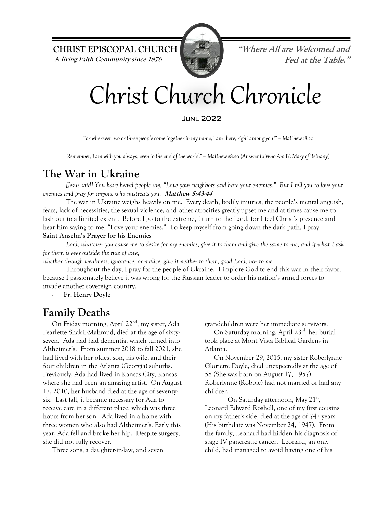**CHRIST EPISCOPAL CHURCH "Where All are Welcomed and A living Faith Community since 1876 Fed at the Table."**



# Christ Church Chronicle

#### June 2022

For wherever two or three people come together in my name, I am there, right among you!" – Matthew 18:20

Remember, I am with you always, even to the end of the world." – Matthew 28:20 (Answer to Who Am I?: Mary of Bethany)

#### **The War in Ukraine**

*[Jesus said] You have heard people say, "Love your neighbors and hate your enemies." But I tell you to love your enemies and pray for anyone who mistreats you.* **Matthew 5:43-44**

The war in Ukraine weighs heavily on me. Every death, bodily injuries, the people's mental anguish, fears, lack of necessities, the sexual violence, and other atrocities greatly upset me and at times cause me to lash out to a limited extent. Before I go to the extreme, I turn to the Lord, for I feel Christ's presence and hear him saying to me, "Love your enemies." To keep myself from going down the dark path, I pray **Saint Anselm's Prayer for his Enemies**

*Lord, whatever you cause me to desire for my enemies, give it to them and give the same to me, and if what I ask for them is ever outside the rule of love,*

*whether through weakness, ignorance, or malice, give it neither to them, good Lord, nor to me.*

Throughout the day, I pray for the people of Ukraine. I implore God to end this war in their favor, because I passionately believe it was wrong for the Russian leader to order his nation's armed forces to invade another sovereign country.

Fr. Henry Doyle

#### **Family Deaths**

On Friday morning, April 22<sup>nd</sup>, my sister, Ada Pearlette Shakir-Mahmud, died at the age of sixtyseven. Ada had had dementia, which turned into Alzheimer's. From summer 2018 to fall 2021, she had lived with her oldest son, his wife, and their four children in the Atlanta (Georgia) suburbs. Previously, Ada had lived in Kansas City, Kansas, where she had been an amazing artist. On August 17, 2010, her husband died at the age of seventysix. Last fall, it became necessary for Ada to receive care in a different place, which was three hours from her son. Ada lived in a home with three women who also had Alzheimer's. Early this year, Ada fell and broke her hip. Despite surgery, she did not fully recover.

Three sons, a daughter-in-law, and seven

grandchildren were her immediate survivors.

On Saturday morning, April 23rd, her burial took place at Mont Vista Biblical Gardens in Atlanta.

On November 29, 2015, my sister Roberlynne Gloriette Doyle, died unexpectedly at the age of 58 (She was born on August 17, 1957). Roberlynne (Robbie) had not married or had any children.

On Saturday afternoon, May 21<sup>st</sup>, Leonard Edward Roshell, one of my first cousins on my father's side, died at the age of 74+ years (His birthdate was November 24, 1947). From the family, Leonard had hidden his diagnosis of stage IV pancreatic cancer. Leonard, an only child, had managed to avoid having one of his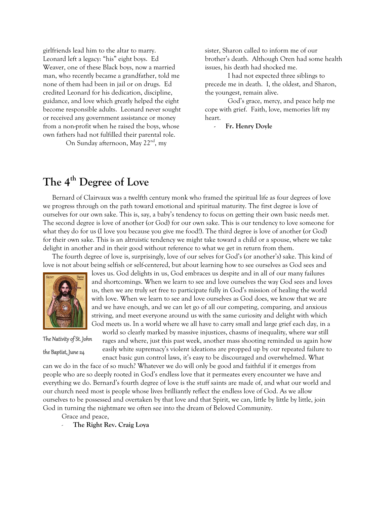girlfriends lead him to the altar to marry. Leonard left a legacy: "his" eight boys. Ed Weaver, one of these Black boys, now a married man, who recently became a grandfather, told me none of them had been in jail or on drugs. Ed credited Leonard for his dedication, discipline, guidance, and love which greatly helped the eight become responsible adults. Leonard never sought or received any government assistance or money from a non-profit when he raised the boys, whose own fathers had not fulfilled their parental role.

On Sunday afternoon, May 22<sup>nd</sup>, my

sister, Sharon called to inform me of our brother's death. Although Oren had some health issues, his death had shocked me.

I had not expected three siblings to precede me in death. I, the oldest, and Sharon, the youngest, remain alive.

God's grace, mercy, and peace help me cope with grief. Faith, love, memories lift my heart.

- **Fr. Henry Doyle**

### **The 4th Degree of Love**

Bernard of Clairvaux was a twelfth century monk who framed the spiritual life as four degrees of love we progress through on the path toward emotional and spiritual maturity. The first degree is love of ourselves for our own sake. This is, say, a baby's tendency to focus on getting their own basic needs met. The second degree is love of another (or God) for our own sake. This is our tendency to love someone for what they do for us (I love you because you give me food!). The third degree is love of another (or God) for their own sake. This is an altruistic tendency we might take toward a child or a spouse, where we take delight in another and in their good without reference to what we get in return from them.

The fourth degree of love is, surprisingly, love of our selves for God's (or another's) sake. This kind of love is not about being selfish or self-centered, but about learning how to see ourselves as God sees and



The Nativity of St. John

the Baptist, June 24

loves us. God delights in us, God embraces us despite and in all of our many failures and shortcomings. When we learn to see and love ourselves the way God sees and loves us, then we are truly set free to participate fully in God's mission of healing the world with love. When we learn to see and love ourselves as God does, we know that we are and we have enough, and we can let go of all our competing, comparing, and anxious striving, and meet everyone around us with the same curiosity and delight with which God meets us. In a world where we all have to carry small and large grief each day, in a

world so clearly marked by massive injustices, chasms of inequality, where war still rages and where, just this past week, another mass shooting reminded us again how easily white supremacy's violent ideations are propped up by our repeated failure to enact basic gun control laws, it's easy to be discouraged and overwhelmed. What

can we do in the face of so much? Whatever we do will only be good and faithful if it emerges from people who are so deeply rooted in God's endless love that it permeates every encounter we have and everything we do. Bernard's fourth degree of love is the stuff saints are made of, and what our world and our church need most is people whose lives brilliantly reflect the endless love of God. As we allow ourselves to be possessed and overtaken by that love and that Spirit, we can, little by little by little, join God in turning the nightmare we often see into the dream of Beloved Community.

- Grace and peace,
- The Right Rev. Craig Loya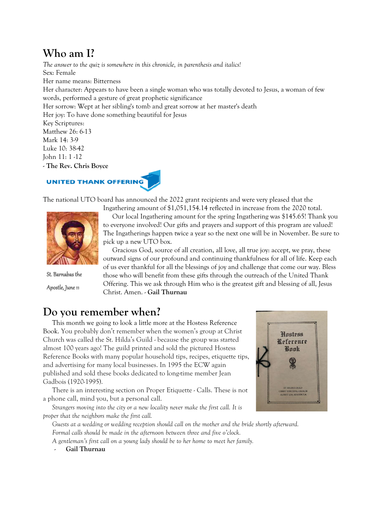#### **Who am I?**

*The answer to the quiz is somewhere in this chronicle, in parenthesis and italics!* Sex: Female Her name means: Bitterness Her character: Appears to have been a single woman who was totally devoted to Jesus, a woman of few words, performed a gesture of great prophetic significance Her sorrow: Wept at her sibling's tomb and great sorrow at her master's death Her joy: To have done something beautiful for Jesus Key Scriptures: Matthew 26: 6-13 Mark 14: 3-9 Luke 10: 38-42

John 11: 1 -12

- **The Rev. Chris Boyce**

#### **UNITED THANK OFFERING**



The national UTO board has announced the 2022 grant recipients and were very pleased that the



Ingathering amount of \$1,051,154.14 reflected in increase from the 2020 total. Our local Ingathering amount for the spring Ingathering was \$145.65! Thank you to everyone involved! Our gifts and prayers and support of this program are valued! The Ingatherings happen twice a year so the next one will be in November. Be sure to pick up a new UTO box.

St. Barnabas the

Apostle, June 11

Gracious God, source of all creation, all love, all true joy: accept, we pray, these outward signs of our profound and continuing thankfulness for all of life. Keep each of us ever thankful for all the blessings of joy and challenge that come our way. Bless those who will benefit from these gifts through the outreach of the United Thank Offering. This we ask through Him who is the greatest gift and blessing of all, Jesus Christ. Amen. - **Gail Thurnau**

## **Do you remember when?**

This month we going to look a little more at the Hostess Reference Book. You probably don't remember when the women's group at Christ Church was called the St. Hilda's Guild - because the group was started almost 100 years ago! The guild printed and sold the pictured Hostess Reference Books with many popular household tips, recipes, etiquette tips, and advertising for many local businesses. In 1995 the ECW again published and sold these books dedicated to long-time member Jean Gadbois (1920-1995).

There is an interesting section on Proper Etiquette - Calls. These is not a phone call, mind you, but a personal call.

*Strangers moving into the city or a new locality never make the first call. It is proper that the neighbors make the first call.*

*Guests at a wedding or wedding reception should call on the mother and the bride shortly afterward. Formal calls should be made in the afternoon between three and five o'clock.*

*A gentleman's first call on a young lady should be to her home to meet her family.*

- **Gail Thurnau**

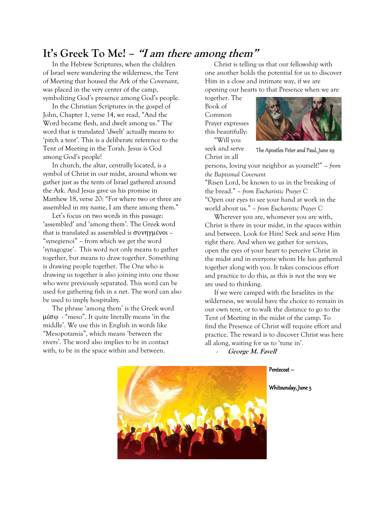#### **It's Greek To Me! – "<sup>I</sup> am there among them"**

In the Hebrew Scriptures, when the children of Israel were wandering the wilderness, the Tent of Meeting that housed the Ark of the Covenant, was placed in the very center of the camp, symbolizing God's presence among God's people.

In the Christian Scriptures in the gospel of John, Chapter 1, verse 14, we read, "And the Word became flesh, and dwelt among us." The word that is translated 'dwelt' actually means to 'pitch a tent'. This is a deliberate reference to the Tent of Meeting in the Torah. Jesus is God among God's people!

In church, the altar, centrally located, is a symbol of Christ in our midst, around whom we gather just as the tents of Israel gathered around the Ark. And Jesus gave us his promise in Matthew 18, verse 20: "For where two or three are assembled in my name, I am there among them."

Let's focus on two words in this passage: 'assembled' and 'among them'. The Greek word that is translated as assembled is συνηγμένοι – "synegienoi" – from which we get the word 'synagogue'. This word not only means to gather together, but means to draw together. Something is drawing people together. The One who is drawing us together is also joining into one those who were previously separated. This word can be used for gathering fish in a net. The word can also be used to imply hospitality.

The phrase 'among them' is the Greek word μέσῳ - "meso". It quite literally means 'in the middle'. We use this in English in words like "Mesopotamia", which means 'between the rivers'. The word also implies to be in contact with, to be in the space within and between.

Christ is telling us that our fellowship with one another holds the potential for us to discover Him in a close and intimate way, if we are opening our hearts to that Presence when we are

together. The Book of Common Prayer expresses this beautifully: "Will you

seek and serve Christ in all



The Apostles Peter and Paul, June 29

persons, loving your neighbor as yourself?" *– from the Baptismal Covenant*

"Risen Lord, be known to us in the breaking of the bread." *– from Eucharistic Prayer C* "Open our eyes to see your hand at work in the world about us." *– from Eucharistic Prayer C*

Wherever you are, whomever you are with, Christ is there in your midst, in the spaces within and between. Look for Him! Seek and serve Him right there. And when we gather for services, open the eyes of your heart to perceive Christ in the midst and in everyone whom He has gathered together along with you. It takes conscious effort and practice to do this, as this is not the way we are used to thinking.

If we were camped with the Israelites in the wilderness, we would have the choice to remain in our own tent, or to walk the distance to go to the Tent of Meeting in the midst of the camp. To find the Presence of Christ will require effort and practice. The reward is to discover Christ was here all along, waiting for us to 'tune in'.

- **George M. Favell**

Pentecost –

Whitsunday, June 5

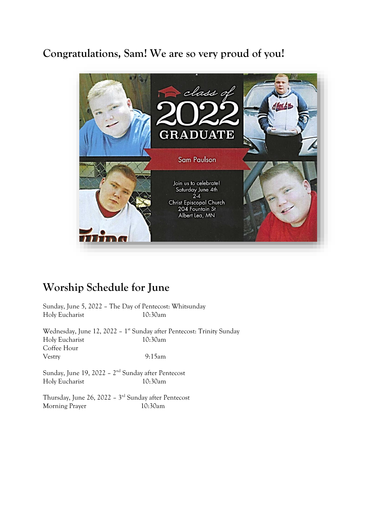#### **Congratulations, Sam! We are so very proud of you!**



#### **Worship Schedule for June**

Sunday, June 5, 2022 – The Day of Pentecost: Whitsunday Holy Eucharist 10:30am

Wednesday, June 12, 2022 – 1 st Sunday after Pentecost: Trinity Sunday Holy Eucharist 10:30am Coffee Hour Vestry 9:15am

Sunday, June 19, 2022 – 2<sup>nd</sup> Sunday after Pentecost Holy Eucharist 10:30am

Thursday, June 26, 2022 – 3 rd Sunday after Pentecost Morning Prayer 10:30am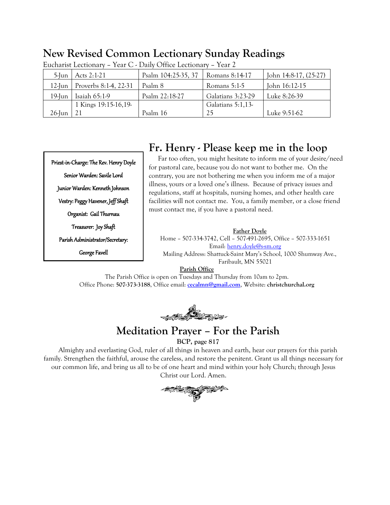#### **New Revised Common Lectionary Sunday Readings**

| $5$ -Jun  | Acts 2:1-21           | Psalm 104:25-35, 37 | Romans 8:14-17    | John 14:8-17, (25-27) |
|-----------|-----------------------|---------------------|-------------------|-----------------------|
| $12$ -Jun | Proverbs 8:1-4, 22-31 | Psalm 8             | Romans $5:1-5$    | John 16:12-15         |
| 19-Jun    | Isaiah $65:1-9$       | Psalm 22:18-27      | Galatians 3:23-29 | Luke 8:26-39          |
|           | 1 Kings 19:15-16,19-  |                     | Galatians 5:1,13- |                       |
| 26-Jun    |                       | Psalm 16            | 25                | Luke 9:51-62          |

Eucharist Lectionary – Year C - Daily Office Lectionary – Year 2

Priest-in-Charge: The Rev. Henry Doyle Senior Warden: Savile Lord Junior Warden: Kenneth Johnson Vestry: Peggy Havener, Jeff Shaft Organist: Gail Thurnau Treasurer: Joy Shaft Parish Administrator/Secretary: George Favell

#### **Fr. Henry - Please keep me in the loop**

Far too often, you might hesitate to inform me of your desire/need for pastoral care, because you do not want to bother me. On the contrary, you are not bothering me when you inform me of a major illness, yours or a loved one's illness. Because of privacy issues and regulations, staff at hospitals, nursing homes, and other health care facilities will not contact me. You, a family member, or a close friend must contact me, if you have a pastoral need.

#### **Father Doyle**

Home – 507-334-3742, Cell – 507-491-2695, Office – 507-333-1651 Email[: henry.doyle@s-sm.org](mailto:henry.doyle@s-sm.org) Mailing Address: Shattuck-Saint Mary's School, 1000 Shumway Ave., Faribault, MN 55021

#### **Parish Office**

The Parish Office is open on Tuesdays and Thursday from 10am to 2pm. Office Phone: **507-373-3188**, Office email: **[cecalmn@gmail.com](mailto:cecalmn@gmail.com)**, Website: **christchurchal.org** 

**1975-18** 

#### **Meditation Prayer – For the Parish**

**BCP, page 817**

Almighty and everlasting God, ruler of all things in heaven and earth, hear our prayers for this parish family. Strengthen the faithful, arouse the careless, and restore the penitent. Grant us all things necessary for our common life, and bring us all to be of one heart and mind within your holy Church; through Jesus Christ our Lord. Amen.

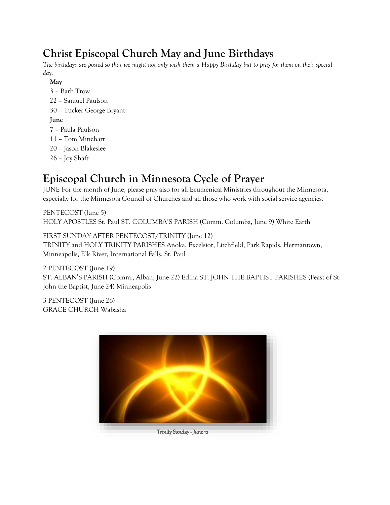## **Christ Episcopal Church May and June Birthdays**

*The birthdays are posted so that we might not only wish them a Happy Birthday but to pray for them on their special day.*

- **May** 3 – Barb Trow 22 – Samuel Paulson 30 – Tucker George Bryant **June** 7 – Paula Paulson 11 – Tom Minehart 20 – Jason Blakeslee
- 26 Joy Shaft

## **Episcopal Church in Minnesota Cycle of Prayer**

JUNE For the month of June, please pray also for all Ecumenical Ministries throughout the Minnesota, especially for the Minnesota Council of Churches and all those who work with social service agencies.

PENTECOST (June 5) HOLY APOSTLES St. Paul ST. COLUMBA'S PARISH (Comm. Columba, June 9) White Earth

FIRST SUNDAY AFTER PENTECOST/TRINITY (June 12) TRINITY and HOLY TRINITY PARISHES Anoka, Excelsior, Litchfield, Park Rapids, Hermantown, Minneapolis, Elk River, International Falls, St. Paul

2 PENTECOST (June 19) ST. ALBAN'S PARISH (Comm., Alban, June 22) Edina ST. JOHN THE BAPTIST PARISHES (Feast of St. John the Baptist, June 24) Minneapolis

3 PENTECOST (June 26) GRACE CHURCH Wabasha

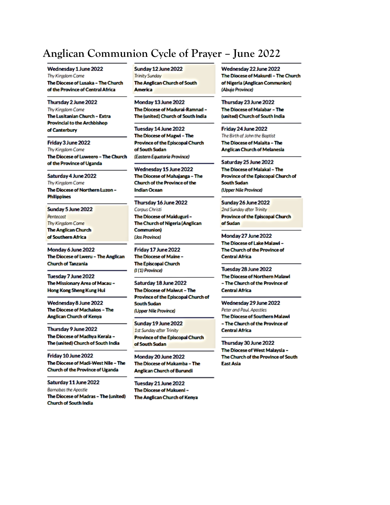#### **Anglican Communion Cycle of Prayer – June 2022**

Wednesday 1 June 2022 Thy Kingdom Come The Diocese of Lusaka - The Church of the Province of Central Africa

Thursday 2 June 2022 Thy Kingdom Come The Lusitanian Church - Extra **Provincial to the Archbishop** of Canterbury

Friday 3 June 2022 Thy Kingdom Come The Diocese of Luweero - The Church of the Province of Uganda

Saturday 4 June 2022 Thy Kingdom Come The Diocese of Northern Luzon -**Philippines** 

Sunday 5 June 2022 **Pentecost** Thy Kingdom Come **The Anglican Church** of Southern Africa

Monday 6 June 2022 The Diocese of Lweru - The Anglican Church of Tanzania

Tuesday 7 June 2022 The Missionary Area of Macau -Hong Kong Sheng Kung Hui

Wednesday 8 June 2022 The Diocese of Machakos - The Anglican Church of Kenya

Thursday 9 June 2022 The Diocese of Madhya Kerala -The (united) Church of South India

Friday 10 June 2022 The Diocese of Madi-West Nile - The Church of the Province of Uganda

Saturday 11 June 2022 **Barnabas the Apostle** The Diocese of Madras - The (united) **Church of South India** 

Sunday 12 June 2022 **Trinity Sunday** The Anglican Church of South **America** 

Monday 13 June 2022 The Diocese of Madurai-Ramnad -The (united) Church of South India

Tuesday 14 June 2022 The Diocese of Magwi - The Province of the Episcopal Church of South Sudan (Eastern Equatoria Province)

Wednesday 15 June 2022 The Diocese of Mahajanga - The Church of the Province of the **Indian Ocean** 

Thursday 16 June 2022

Corpus Christi The Diocese of Maiduguri -The Church of Nigeria (Anglican **Communion)** (Jos Province)

Friday 17 June 2022 The Diocese of Maine -The Episcopal Church (I(1) Province)

Saturday 18 June 2022 The Diocese of Maiwut - The Province of the Episcopal Church of South Sudan (Upper Nile Province)

Sunday 19 June 2022 1st Sunday after Trinity Province of the Episcopal Church of South Sudan

Monday 20 June 2022 The Diocese of Makamba - The **Anglican Church of Burundi** 

Tuesday 21 June 2022 The Diocese of Makueni -The Anglican Church of Kenya Wednesday 22 June 2022 The Diocese of Makurdi - The Church of Nigeria (Anglican Communion) (Abuja Province)

Thursday 23 June 2022 The Diocese of Malabar - The (united) Church of South India

Friday 24 June 2022 The Birth of John the Baptist The Diocese of Malaita - The **Anglican Church of Melanesia** 

Saturday 25 June 2022 The Diocese of Malakal - The Province of the Episcopal Church of **South Sudan** (Upper Nile Province)

Sunday 26 June 2022 2nd Sunday after Trinity **Province of the Episcopal Church** of Sudan

Monday 27 June 2022 The Diocese of Lake Malawi -The Church of the Province of **Central Africa** 

Tuesday 28 June 2022 The Diocese of Northern Malawi - The Church of the Province of **Central Africa** 

Wednesday 29 June 2022 Peter and Paul, Apostles The Diocese of Southern Malawi - The Church of the Province of **Central Africa** 

Thursday 30 June 2022 The Diocese of West Malaysia -The Church of the Province of South East Asia